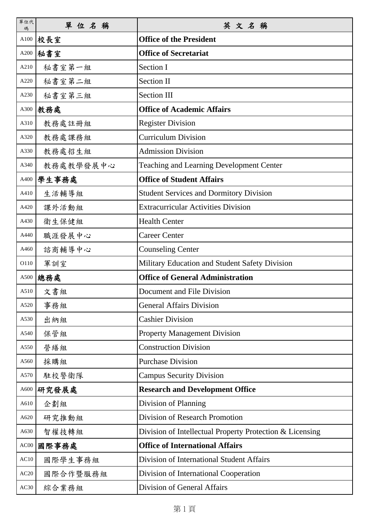| 單位代<br>碼 | 單位名稱      | 英文名稱                                                     |
|----------|-----------|----------------------------------------------------------|
| A100     | 校長室       | <b>Office of the President</b>                           |
| A200     | 秘書室       | <b>Office of Secretariat</b>                             |
| A210     | 秘書室第一組    | Section I                                                |
| A220     | 秘書室第二組    | <b>Section II</b>                                        |
| A230     | 秘書室第三組    | <b>Section III</b>                                       |
| A300     | 教務處       | <b>Office of Academic Affairs</b>                        |
| A310     | 教務處註冊組    | <b>Register Division</b>                                 |
| A320     | 教務處課務組    | <b>Curriculum Division</b>                               |
| A330     | 教務處招生組    | <b>Admission Division</b>                                |
| A340     | 教務處教學發展中心 | <b>Teaching and Learning Development Center</b>          |
| A400     | 學生事務處     | <b>Office of Student Affairs</b>                         |
| A410     | 生活輔導組     | <b>Student Services and Dormitory Division</b>           |
| A420     | 課外活動組     | <b>Extracurricular Activities Division</b>               |
| A430     | 衛生保健組     | <b>Health Center</b>                                     |
| A440     | 職涯發展中心    | <b>Career Center</b>                                     |
| A460     | 諮商輔導中心    | <b>Counseling Center</b>                                 |
| O110     | 軍訓室       | Military Education and Student Safety Division           |
| A500     | 總務處       | <b>Office of General Administration</b>                  |
| A510     | 文書組       | Document and File Division                               |
| A520     | 事務組       | <b>General Affairs Division</b>                          |
| A530     | 出納組       | <b>Cashier Division</b>                                  |
| A540     | 保管組       | <b>Property Management Division</b>                      |
| A550     | 營繕組       | <b>Construction Division</b>                             |
| A560     | 採購組       | <b>Purchase Division</b>                                 |
| A570     | 駐校警衛隊     | <b>Campus Security Division</b>                          |
| A600     | 研究發展處     | <b>Research and Development Office</b>                   |
| A610     | 企劃組       | Division of Planning                                     |
| A620     | 研究推動組     | Division of Research Promotion                           |
| A630     | 智權技轉組     | Division of Intellectual Property Protection & Licensing |
| AC00     | 國際事務處     | <b>Office of International Affairs</b>                   |
| AC10     | 國際學生事務組   | Division of International Student Affairs                |
| AC20     | 國際合作暨服務組  | Division of International Cooperation                    |
| AC30     | 綜合業務組     | Division of General Affairs                              |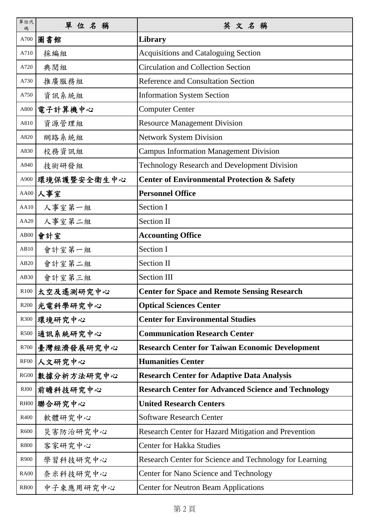| 單位代<br>碼         | 單位名稱           | 英文名稱                                                       |
|------------------|----------------|------------------------------------------------------------|
| A700             | 圖書館            | Library                                                    |
| A710             | 採編組            | <b>Acquisitions and Cataloguing Section</b>                |
| A720             | 典閱組            | <b>Circulation and Collection Section</b>                  |
| A730             | 推廣服務組          | <b>Reference and Consultation Section</b>                  |
| A750             | 資訊系統組          | <b>Information System Section</b>                          |
| A800             | 電子計算機中心        | <b>Computer Center</b>                                     |
| A810             | 資源管理組          | <b>Resource Management Division</b>                        |
| A820             | 網路系統組          | <b>Network System Division</b>                             |
| A830             | 校務資訊組          | <b>Campus Information Management Division</b>              |
| A840             | 技術研發組          | <b>Technology Research and Development Division</b>        |
| A900             | 環境保護暨安全衛生中心    | <b>Center of Environmental Protection &amp; Safety</b>     |
| AA00             | 人事室            | <b>Personnel Office</b>                                    |
| AA10             | 人事室第一組         | Section I                                                  |
| AA20             | 人事室第二組         | <b>Section II</b>                                          |
| $\rm{AB}00$      | 會計室            | <b>Accounting Office</b>                                   |
| AB10             | 會計室第一組         | Section I                                                  |
| AB20             | 會計室第二組         | <b>Section II</b>                                          |
| AB30             | 會計室第三組         | <b>Section III</b>                                         |
|                  | R100 太空及遙測研究中心 | <b>Center for Space and Remote Sensing Research</b>        |
| R <sub>200</sub> | 光電科學研究中心       | <b>Optical Sciences Center</b>                             |
| R300             | 環境研究中心         | <b>Center for Environmental Studies</b>                    |
| R500             | 通訊系統研究中心       | <b>Communication Research Center</b>                       |
| R700             | 臺灣經濟發展研究中心     | <b>Research Center for Taiwan Economic Development</b>     |
| RF00             | 人文研究中心         | <b>Humanities Center</b>                                   |
| ${\rm RG00}$     | 數據分析方法研究中心     | <b>Research Center for Adaptive Data Analysis</b>          |
| $\text{RJ}00$    | 前瞻科技研究中心       | <b>Research Center for Advanced Science and Technology</b> |
| RH00             | 聯合研究中心         | <b>United Research Centers</b>                             |
| R400             | 軟體研究中心         | <b>Software Research Center</b>                            |
| R600             | 災害防治研究中心       | Research Center for Hazard Mitigation and Prevention       |
| R800             | 客家研究中心         | <b>Center for Hakka Studies</b>                            |
| R900             | 學習科技研究中心       | Research Center for Science and Technology for Learning    |
| <b>RA00</b>      | 奈米科技研究中心       | Center for Nano Science and Technology                     |
| <b>RB00</b>      | 中子束應用研究中心      | <b>Center for Neutron Beam Applications</b>                |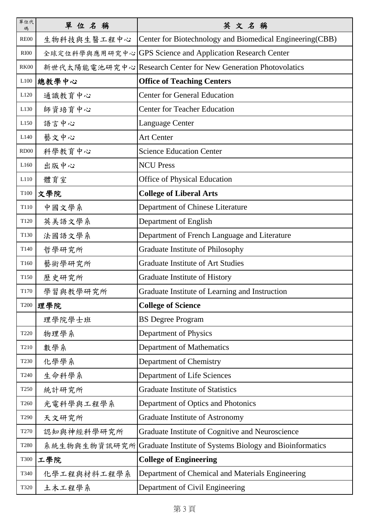| 單位代<br>碼         | 單位名稱         | 英文名稱                                                          |
|------------------|--------------|---------------------------------------------------------------|
| <b>RE00</b>      | 生物科技與生醫工程中心  | Center for Biotechnology and Biomedical Engineering (CBB)     |
| <b>RI00</b>      |              | 全球定位科學與應用研究中心 GPS Science and Application Research Center     |
| <b>RK00</b>      |              | 新世代太陽能電池研究中心 Research Center for New Generation Photovolatics |
| L100             | 總教學中心        | <b>Office of Teaching Centers</b>                             |
| L120             | 通識教育中心       | <b>Center for General Education</b>                           |
| L <sub>130</sub> | 師資培育中心       | <b>Center for Teacher Education</b>                           |
| L <sub>150</sub> | 語言中心         | Language Center                                               |
| L140             | 藝文中心         | <b>Art Center</b>                                             |
| RD <sub>00</sub> | 科學教育中心       | <b>Science Education Center</b>                               |
| L <sub>160</sub> | 出版中心         | <b>NCU Press</b>                                              |
| L110             | 體育室          | Office of Physical Education                                  |
| T <sub>100</sub> | 文學院          | <b>College of Liberal Arts</b>                                |
| T110             | 中國文學系        | Department of Chinese Literature                              |
| T <sub>120</sub> | 英美語文學系       | Department of English                                         |
| T130             | 法國語文學系       | Department of French Language and Literature                  |
| T140             | 哲學研究所        | Graduate Institute of Philosophy                              |
| T <sub>160</sub> | 藝術學研究所       | <b>Graduate Institute of Art Studies</b>                      |
| T150             | 歷史研究所        | Graduate Institute of History                                 |
| T170             | 學習與教學研究所     | Graduate Institute of Learning and Instruction                |
| <b>T200</b>      | 理學院          | <b>College of Science</b>                                     |
|                  | 理學院學士班       | <b>BS Degree Program</b>                                      |
| T220             | 物理學系         | Department of Physics                                         |
| T210             | 數學系          | Department of Mathematics                                     |
| T <sub>230</sub> | 化學學系         | Department of Chemistry                                       |
| T240             | 生命科學系        | Department of Life Sciences                                   |
| T <sub>250</sub> | 統計研究所        | <b>Graduate Institute of Statistics</b>                       |
| T <sub>260</sub> | 光電科學與工程學系    | Department of Optics and Photonics                            |
| T290             | 天文研究所        | Graduate Institute of Astronomy                               |
| T <sub>270</sub> | 認知與神經科學研究所   | Graduate Institute of Cognitive and Neuroscience              |
| T <sub>280</sub> | 系統生物與生物資訊研究所 | Graduate Institute of Systems Biology and Bioinformatics      |
| <b>T300</b>      | 工學院          | <b>College of Engineering</b>                                 |
| T340             | 化學工程與材料工程學系  | Department of Chemical and Materials Engineering              |
| T320             | 土木工程學系       | Department of Civil Engineering                               |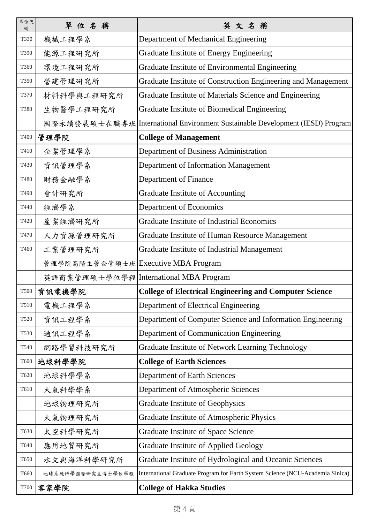| 單位代<br>碼    | 單位名稱                                | 英文名稱                                                                            |
|-------------|-------------------------------------|---------------------------------------------------------------------------------|
| T330        | 機械工程學系                              | Department of Mechanical Engineering                                            |
| T390        | 能源工程研究所                             | Graduate Institute of Energy Engineering                                        |
| T360        | 環境工程研究所                             | Graduate Institute of Environmental Engineering                                 |
| T350        | 營建管理研究所                             | Graduate Institute of Construction Engineering and Management                   |
| T370        | 材料科學與工程研究所                          | Graduate Institute of Materials Science and Engineering                         |
| <b>T380</b> | 生物醫學工程研究所                           | Graduate Institute of Biomedical Engineering                                    |
|             |                                     | 國際永續發展碩士在職專班   International Environment Sustainable Development (IESD) Program |
| T400        | 管理學院                                | <b>College of Management</b>                                                    |
| T410        | 企業管理學系                              | Department of Business Administration                                           |
| T430        | 資訊管理學系                              | Department of Information Management                                            |
| T480        | 財務金融學系                              | Department of Finance                                                           |
| T490        | 會計研究所                               | <b>Graduate Institute of Accounting</b>                                         |
| T440        | 經濟學系                                | Department of Economics                                                         |
| T420        | 產業經濟研究所                             | <b>Graduate Institute of Industrial Economics</b>                               |
| T470        | 人力資源管理研究所                           | Graduate Institute of Human Resource Management                                 |
| T460        | 工業管理研究所                             | Graduate Institute of Industrial Management                                     |
|             | 管理學院高階主管企管碩士班 Executive MBA Program |                                                                                 |
|             |                                     | 英語商業管理碩士學位學程 International MBA Program                                          |
| <b>T500</b> | 資訊電機學院                              | <b>College of Electrical Engineering and Computer Science</b>                   |
| T510        | 電機工程學系                              | Department of Electrical Engineering                                            |
| T520        | 資訊工程學系                              | Department of Computer Science and Information Engineering                      |
| T530        | 通訊工程學系                              | Department of Communication Engineering                                         |
| T540        | 網路學習科技研究所                           | Graduate Institute of Network Learning Technology                               |
| T600        | 地球科學學院                              | <b>College of Earth Sciences</b>                                                |
| T620        | 地球科學學系                              | <b>Department of Earth Sciences</b>                                             |
| T610        | 大气科学学系                              | Department of Atmospheric Sciences                                              |
|             | 地球物理研究所                             | <b>Graduate Institute of Geophysics</b>                                         |
|             | 大氣物理研究所                             | Graduate Institute of Atmospheric Physics                                       |
| T630        | 太空科學研究所                             | Graduate Institute of Space Science                                             |
| T640        | 應用地質研究所                             | <b>Graduate Institute of Applied Geology</b>                                    |
| T650        | 水文與海洋科學研究所                          | Graduate Institute of Hydrological and Oceanic Sciences                         |
| T660        | 地球系統科學國際研究生博士學位學程                   | International Graduate Program for Earth System Science (NCU-Academia Sinica)   |
| T700        | 客家學院                                | <b>College of Hakka Studies</b>                                                 |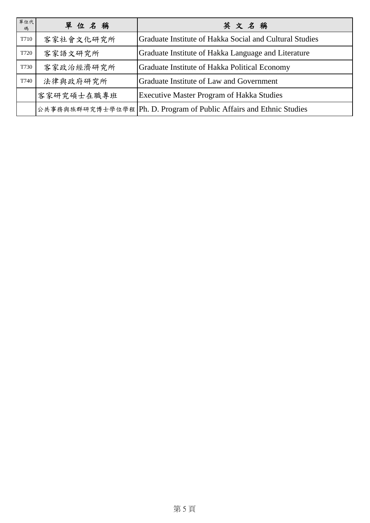| 單位代<br>碼 | 單位名稱       | 英文名稱                                                                  |
|----------|------------|-----------------------------------------------------------------------|
| T710     | 客家社會文化研究所  | Graduate Institute of Hakka Social and Cultural Studies               |
| T720     | 客家語文研究所    | Graduate Institute of Hakka Language and Literature                   |
| T730     | 客家政治經濟研究所  | Graduate Institute of Hakka Political Economy                         |
| T740     | 法律與政府研究所   | Graduate Institute of Law and Government                              |
|          | 客家研究碩士在職專班 | <b>Executive Master Program of Hakka Studies</b>                      |
|          |            | 公共事務與族群研究博士學位學程   Ph. D. Program of Public Affairs and Ethnic Studies |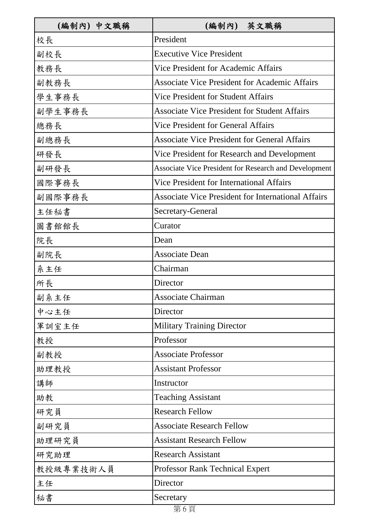| (編制內) 中文職稱 | (編制內) 英文職稱                                                   |
|------------|--------------------------------------------------------------|
| 校長         | President                                                    |
| 副校長        | <b>Executive Vice President</b>                              |
| 教務長        | Vice President for Academic Affairs                          |
| 副教務長       | <b>Associate Vice President for Academic Affairs</b>         |
| 學生事務長      | Vice President for Student Affairs                           |
| 副學生事務長     | <b>Associate Vice President for Student Affairs</b>          |
| 總務長        | <b>Vice President for General Affairs</b>                    |
| 副總務長       | <b>Associate Vice President for General Affairs</b>          |
| 研發長        | Vice President for Research and Development                  |
| 副研發長       | <b>Associate Vice President for Research and Development</b> |
| 國際事務長      | <b>Vice President for International Affairs</b>              |
| 副國際事務長     | <b>Associate Vice President for International Affairs</b>    |
| 主任秘書       | Secretary-General                                            |
| 圖書館館長      | Curator                                                      |
| 院長         | Dean                                                         |
| 副院長        | <b>Associate Dean</b>                                        |
| 系主任        | Chairman                                                     |
| 所長         | Director                                                     |
| 副系主任       | <b>Associate Chairman</b>                                    |
| 中心主任       | Director                                                     |
| 軍訓室主任      | <b>Military Training Director</b>                            |
| 教授         | Professor                                                    |
| 副教授        | <b>Associate Professor</b>                                   |
| 助理教授       | <b>Assistant Professor</b>                                   |
| 講師         | Instructor                                                   |
| 助教         | <b>Teaching Assistant</b>                                    |
| 研究員        | <b>Research Fellow</b>                                       |
| 副研究員       | <b>Associate Research Fellow</b>                             |
| 助理研究員      | <b>Assistant Research Fellow</b>                             |
| 研究助理       | <b>Research Assistant</b>                                    |
| 教授級專業技術人員  | <b>Professor Rank Technical Expert</b>                       |
| 主任         | Director                                                     |
| 秘書         | Secretary                                                    |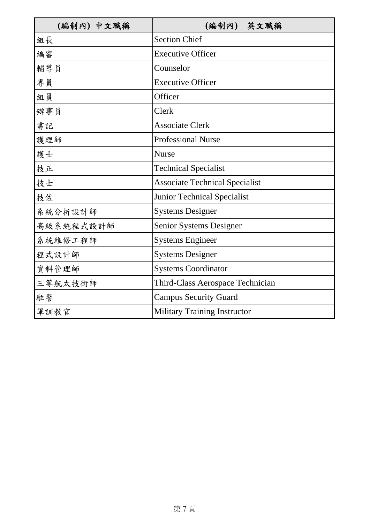| (編制內) 中文職稱 | (編制內) 英文職稱                            |
|------------|---------------------------------------|
| 組長         | <b>Section Chief</b>                  |
| 編審         | <b>Executive Officer</b>              |
| 輔導員        | Counselor                             |
| 專員         | <b>Executive Officer</b>              |
| 組員         | Officer                               |
| 辦事員        | Clerk                                 |
| 書記         | <b>Associate Clerk</b>                |
| 護理師        | <b>Professional Nurse</b>             |
| 護士         | <b>Nurse</b>                          |
| 技正         | <b>Technical Specialist</b>           |
| 技士         | <b>Associate Technical Specialist</b> |
| 技佐         | <b>Junior Technical Specialist</b>    |
| 系統分析設計師    | <b>Systems Designer</b>               |
| 高級系統程式設計師  | <b>Senior Systems Designer</b>        |
| 系統維修工程師    | <b>Systems Engineer</b>               |
| 程式設計師      | <b>Systems Designer</b>               |
| 資料管理師      | <b>Systems Coordinator</b>            |
| 三等航太技術師    | Third-Class Aerospace Technician      |
| 駐警         | <b>Campus Security Guard</b>          |
| 軍訓教官       | <b>Military Training Instructor</b>   |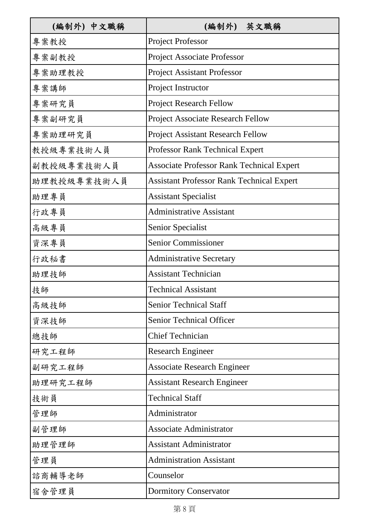| (編制外) 中文職稱  | (編制外) 英文職稱                                       |
|-------------|--------------------------------------------------|
| 專案教授        | <b>Project Professor</b>                         |
| 專案副教授       | <b>Project Associate Professor</b>               |
| 專案助理教授      | <b>Project Assistant Professor</b>               |
| 專案講師        | Project Instructor                               |
| 專案研究員       | <b>Project Research Fellow</b>                   |
| 專案副研究員      | <b>Project Associate Research Fellow</b>         |
| 專案助理研究員     | <b>Project Assistant Research Fellow</b>         |
| 教授級專業技術人員   | <b>Professor Rank Technical Expert</b>           |
| 副教授級專業技術人員  | <b>Associate Professor Rank Technical Expert</b> |
| 助理教授級專業技術人員 | <b>Assistant Professor Rank Technical Expert</b> |
| 助理專員        | <b>Assistant Specialist</b>                      |
| 行政專員        | <b>Administrative Assistant</b>                  |
| 高級專員        | Senior Specialist                                |
| 資深專員        | Senior Commissioner                              |
| 行政秘書        | <b>Administrative Secretary</b>                  |
| 助理技師        | <b>Assistant Technician</b>                      |
| 技師          | <b>Technical Assistant</b>                       |
| 高級技師        | <b>Senior Technical Staff</b>                    |
| 資深技師        | <b>Senior Technical Officer</b>                  |
| 總技師         | <b>Chief Technician</b>                          |
| 研究工程師       | <b>Research Engineer</b>                         |
| 副研究工程師      | <b>Associate Research Engineer</b>               |
| 助理研究工程師     | <b>Assistant Research Engineer</b>               |
| 技術員         | <b>Technical Staff</b>                           |
| 管理師         | Administrator                                    |
| 副管理師        | <b>Associate Administrator</b>                   |
| 助理管理師       | <b>Assistant Administrator</b>                   |
| 管理員         | <b>Administration Assistant</b>                  |
| 諮商輔導老師      | Counselor                                        |
| 宿舍管理員       | <b>Dormitory Conservator</b>                     |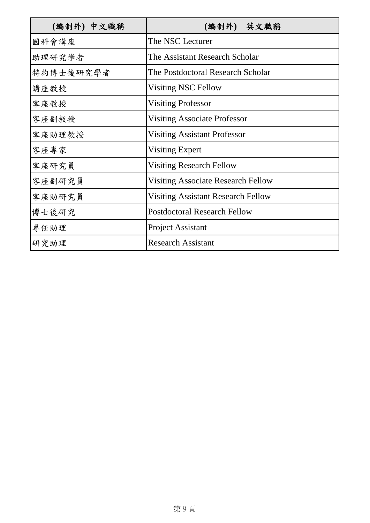| (編制外) 中文職稱 | (編制外) 英文職稱                                |
|------------|-------------------------------------------|
| 國科會講座      | The NSC Lecturer                          |
| 助理研究學者     | The Assistant Research Scholar            |
| 特約博士後研究學者  | The Postdoctoral Research Scholar         |
| 講座教授       | <b>Visiting NSC Fellow</b>                |
| 客座教授       | <b>Visiting Professor</b>                 |
| 客座副教授      | <b>Visiting Associate Professor</b>       |
| 客座助理教授     | <b>Visiting Assistant Professor</b>       |
| 客座專家       | Visiting Expert                           |
| 客座研究員      | <b>Visiting Research Fellow</b>           |
| 客座副研究員     | <b>Visiting Associate Research Fellow</b> |
| 客座助研究員     | <b>Visiting Assistant Research Fellow</b> |
| 博士後研究      | <b>Postdoctoral Research Fellow</b>       |
| 專任助理       | <b>Project Assistant</b>                  |
| 研究助理       | <b>Research Assistant</b>                 |